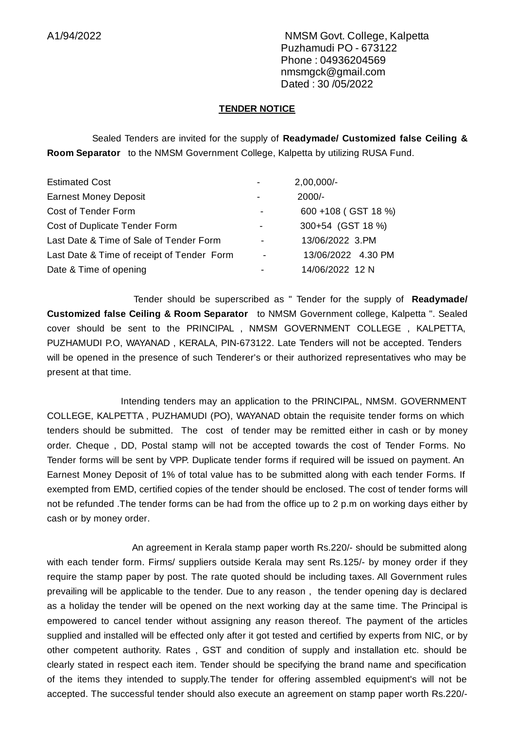A1/94/2022 NMSM Govt. College, Kalpetta Puzhamudi PO - 673122 Phone : 04936204569 nmsmgck@gmail.com Dated : 30 /05/2022

## **TENDER NOTICE**

Sealed Tenders are invited for the supply of **Readymade/ Customized false Ceiling & Room Separator** to the NMSM Government College, Kalpetta by utilizing RUSA Fund.

| <b>Estimated Cost</b>                      |                          | $2,00,000/-$        |
|--------------------------------------------|--------------------------|---------------------|
| <b>Earnest Money Deposit</b>               | $\overline{\phantom{0}}$ | $2000/-$            |
| Cost of Tender Form                        |                          | 600 +108 (GST 18 %) |
| <b>Cost of Duplicate Tender Form</b>       |                          | 300+54 (GST 18 %)   |
| Last Date & Time of Sale of Tender Form    | ۰                        | 13/06/2022 3.PM     |
| Last Date & Time of receipt of Tender Form | $\overline{\phantom{a}}$ | 13/06/2022 4.30 PM  |
| Date & Time of opening                     |                          | 14/06/2022 12 N     |

Tender should be superscribed as " Tender for the supply of **Readymade/ Customized false Ceiling & Room Separator** to NMSM Government college, Kalpetta ". Sealed cover should be sent to the PRINCIPAL , NMSM GOVERNMENT COLLEGE , KALPETTA, PUZHAMUDI P.O, WAYANAD , KERALA, PIN-673122. Late Tenders will not be accepted. Tenders will be opened in the presence of such Tenderer's or their authorized representatives who may be present at that time.

Intending tenders may an application to the PRINCIPAL, NMSM. GOVERNMENT COLLEGE, KALPETTA , PUZHAMUDI (PO), WAYANAD obtain the requisite tender forms on which tenders should be submitted. The cost of tender may be remitted either in cash or by money order. Cheque , DD, Postal stamp will not be accepted towards the cost of Tender Forms. No Tender forms will be sent by VPP. Duplicate tender forms if required will be issued on payment. An Earnest Money Deposit of 1% of total value has to be submitted along with each tender Forms. If exempted from EMD, certified copies of the tender should be enclosed. The cost of tender forms will not be refunded .The tender forms can be had from the office up to 2 p.m on working days either by cash or by money order.

An agreement in Kerala stamp paper worth Rs.220/- should be submitted along with each tender form. Firms/ suppliers outside Kerala may sent Rs.125/- by money order if they require the stamp paper by post. The rate quoted should be including taxes. All Government rules prevailing will be applicable to the tender. Due to any reason , the tender opening day is declared as a holiday the tender will be opened on the next working day at the same time. The Principal is empowered to cancel tender without assigning any reason thereof. The payment of the articles supplied and installed will be effected only after it got tested and certified by experts from NIC, or by other competent authority. Rates , GST and condition of supply and installation etc. should be clearly stated in respect each item. Tender should be specifying the brand name and specification of the items they intended to supply.The tender for offering assembled equipment's will not be accepted. The successful tender should also execute an agreement on stamp paper worth Rs.220/-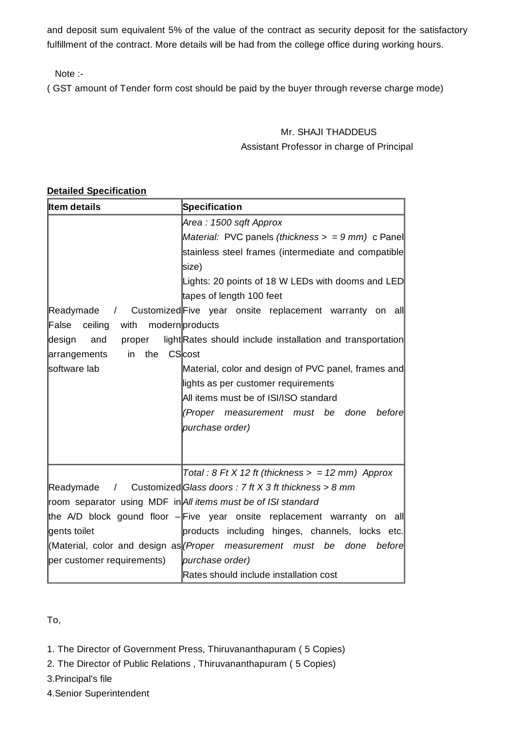and deposit sum equivalent 5% of the value of the contract as security deposit for the satisfactory fulfillment of the contract. More details will be had from the college office during working hours.

Note :-

( GST amount of Tender form cost should be paid by the buyer through reverse charge mode)

## Mr. SHAJI THADDEUS Assistant Professor in charge of Principal

## **Detailed Specification**

| <b>Item details</b>                              | <b>Specification</b>                                                                |  |  |
|--------------------------------------------------|-------------------------------------------------------------------------------------|--|--|
|                                                  | Area : 1500 sqft Approx                                                             |  |  |
|                                                  | Material: PVC panels (thickness $>$ = 9 mm) c Panel                                 |  |  |
|                                                  | stainless steel frames (intermediate and compatible                                 |  |  |
|                                                  | size)                                                                               |  |  |
|                                                  | Lights: 20 points of 18 W LEDs with dooms and LED                                   |  |  |
|                                                  | tapes of length 100 feet                                                            |  |  |
|                                                  | Readymade / Customized Five year onsite replacement warranty on all                 |  |  |
| ceiling with modern products<br>$\mathsf{False}$ |                                                                                     |  |  |
| design<br>and<br>proper                          | light Rates should include installation and transportation                          |  |  |
| CScost<br>the<br>in<br>arrangements              |                                                                                     |  |  |
| software lab                                     | Material, color and design of PVC panel, frames and                                 |  |  |
|                                                  | lights as per customer requirements                                                 |  |  |
|                                                  | All items must be of ISI/ISO standard                                               |  |  |
|                                                  | (Proper measurement must be<br>done<br>before                                       |  |  |
|                                                  | purchase order)                                                                     |  |  |
|                                                  |                                                                                     |  |  |
|                                                  |                                                                                     |  |  |
|                                                  | Total: $8$ Ft X 12 ft (thickness $>$ = 12 mm) Approx                                |  |  |
| Readymade                                        | / Customized Glass doors : 7 ft X 3 ft thickness > 8 mm                             |  |  |
|                                                  | room separator using MDF in All items must be of ISI standard                       |  |  |
|                                                  | the A/D block gound floor $-$ Five year onsite replacement warranty on all          |  |  |
| gents toilet                                     | products including hinges, channels, locks etc.                                     |  |  |
|                                                  | (Material, color and design as <i>(Proper measurement must be</i><br>before<br>done |  |  |
| per customer requirements)                       | purchase order)                                                                     |  |  |
|                                                  | Rates should include installation cost                                              |  |  |

To,

1. The Director of Government Press, Thiruvananthapuram ( 5 Copies)

2. The Director of Public Relations , Thiruvananthapuram ( 5 Copies)

3.Principal's file

4.Senior Superintendent